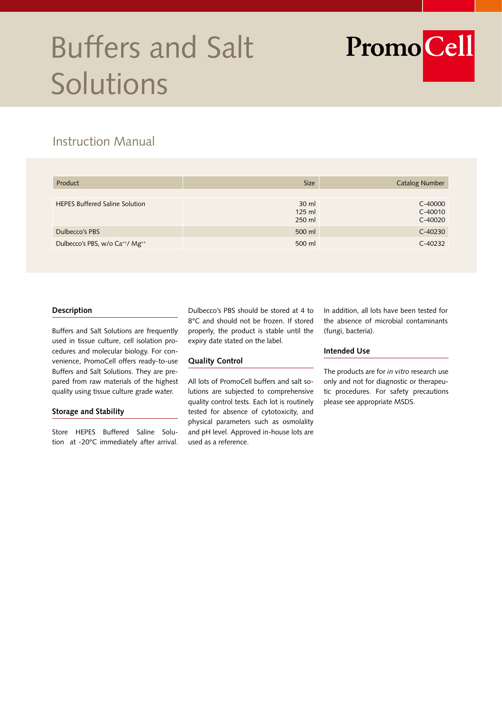# Buffers and Salt Solutions

PromoCell

## Instruction Manual

| Product                                                 | <b>Size</b>                   | <b>Catalog Number</b>             |
|---------------------------------------------------------|-------------------------------|-----------------------------------|
|                                                         |                               |                                   |
| <b>HEPES Buffered Saline Solution</b>                   | $30$ ml<br>$125$ ml<br>250 ml | C-40000<br>$C-40010$<br>$C-40020$ |
| Dulbecco's PBS                                          | 500 ml                        | $C-40230$                         |
| Dulbecco's PBS, w/o Ca <sup>++</sup> / Mg <sup>++</sup> | 500 ml                        | $C-40232$                         |

#### **Description**

Buffers and Salt Solutions are frequently used in tissue culture, cell isolation procedures and molecular biology. For convenience, PromoCell offers ready-to-use Buffers and Salt Solutions. They are prepared from raw materials of the highest quality using tissue culture grade water.

#### **Storage and Stability**

Store HEPES Buffered Saline Solution at -20°C immediately after arrival.

Dulbecco's PBS should be stored at 4 to 8°C and should not be frozen. If stored properly, the product is stable until the expiry date stated on the label.

#### **Quality Control**

All lots of PromoCell buffers and salt solutions are subjected to comprehensive quality control tests. Each lot is routinely tested for absence of cytotoxicity, and physical parameters such as osmolality and pH level. Approved in-house lots are used as a reference.

In addition, all lots have been tested for the absence of microbial contaminants (fungi, bacteria).

#### **Intended Use**

The products are for *in vitro* research use only and not for diagnostic or therapeutic procedures. For safety precautions please see appropriate MSDS.